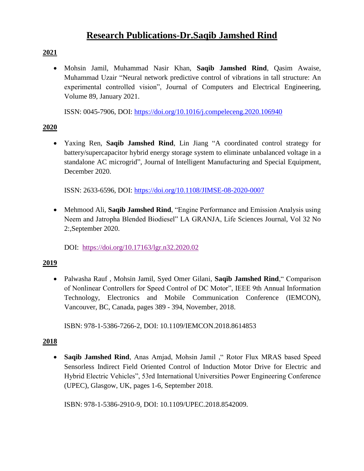# **Research Publications-Dr.Saqib Jamshed Rind**

## **2021**

 Mohsin Jamil, Muhammad Nasir Khan, **Saqib Jamshed Rind**, Qasim Awaise, Muhammad Uzair "Neural network predictive control of vibrations in tall structure: An experimental controlled vision", Journal of Computers and Electrical Engineering, Volume 89, January 2021.

ISSN: 0045-7906, DOI:<https://doi.org/10.1016/j.compeleceng.2020.106940>

### **2020**

 Yaxing Ren, **Saqib Jamshed Rind**, Lin Jiang "A coordinated control strategy for battery/supercapacitor hybrid energy storage system to eliminate unbalanced voltage in a standalone AC microgrid", Journal of Intelligent Manufacturing and Special Equipment, December 2020.

ISSN: 2633-6596, DOI:<https://doi.org/10.1108/JIMSE-08-2020-0007>

 Mehmood Ali, **Saqib Jamshed Rind**, "Engine Performance and Emission Analysis using Neem and Jatropha Blended Biodiesel" LA GRANJA, Life Sciences Journal, Vol 32 No 2:,September 2020.

DOI: <https://doi.org/10.17163/lgr.n32.2020.02>

## **2019**

 Palwasha Rauf , Mohsin Jamil, Syed Omer Gilani, **Saqib Jamshed Rind**," Comparison of Nonlinear Controllers for Speed Control of DC Motor", IEEE 9th Annual Information Technology, Electronics and Mobile Communication Conference (IEMCON), Vancouver, BC, Canada, pages 389 - 394, November, 2018.

ISBN: 978-1-5386-7266-2, DOI: 10.1109/IEMCON.2018.8614853

## **2018**

 **Saqib Jamshed Rind**, Anas Amjad, Mohsin Jamil ," Rotor Flux MRAS based Speed Sensorless Indirect Field Oriented Control of Induction Motor Drive for Electric and Hybrid Electric Vehicles", 53rd International Universities Power Engineering Conference (UPEC), Glasgow, UK, pages 1-6, September 2018.

ISBN: 978-1-5386-2910-9, DOI: 10.1109/UPEC.2018.8542009.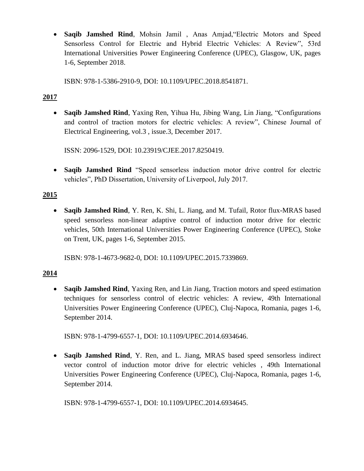**Saqib Jamshed Rind**, Mohsin Jamil , Anas Amjad,"Electric Motors and Speed Sensorless Control for Electric and Hybrid Electric Vehicles: A Review", 53rd International Universities Power Engineering Conference (UPEC), Glasgow, UK, pages 1-6, September 2018.

ISBN: 978-1-5386-2910-9, DOI: 10.1109/UPEC.2018.8541871.

#### **2017**

 **Saqib Jamshed Rind**, Yaxing Ren, Yihua Hu, Jibing Wang, Lin Jiang, "Configurations and control of traction motors for electric vehicles: A review", Chinese Journal of Electrical Engineering, vol.3 , issue.3, December 2017.

ISSN: 2096-1529, DOI: 10.23919/CJEE.2017.8250419.

 **Saqib Jamshed Rind** "Speed sensorless induction motor drive control for electric vehicles", PhD Dissertation, University of Liverpool, July 2017.

### **2015**

 **Saqib Jamshed Rind**, Y. Ren, K. Shi, L. Jiang, and M. Tufail, Rotor flux-MRAS based speed sensorless non-linear adaptive control of induction motor drive for electric vehicles, 50th International Universities Power Engineering Conference (UPEC), Stoke on Trent, UK, pages 1-6, September 2015.

ISBN: 978-1-4673-9682-0, DOI: 10.1109/UPEC.2015.7339869.

#### **2014**

 **Saqib Jamshed Rind**, Yaxing Ren, and Lin Jiang, Traction motors and speed estimation techniques for sensorless control of electric vehicles: A review, 49th International Universities Power Engineering Conference (UPEC), Cluj-Napoca, Romania, pages 1-6, September 2014.

ISBN: 978-1-4799-6557-1, DOI: 10.1109/UPEC.2014.6934646.

 **Saqib Jamshed Rind**, Y. Ren, and L. Jiang, MRAS based speed sensorless indirect vector control of induction motor drive for electric vehicles , 49th International Universities Power Engineering Conference (UPEC), Cluj-Napoca, Romania, pages 1-6, September 2014.

ISBN: 978-1-4799-6557-1, DOI: 10.1109/UPEC.2014.6934645.